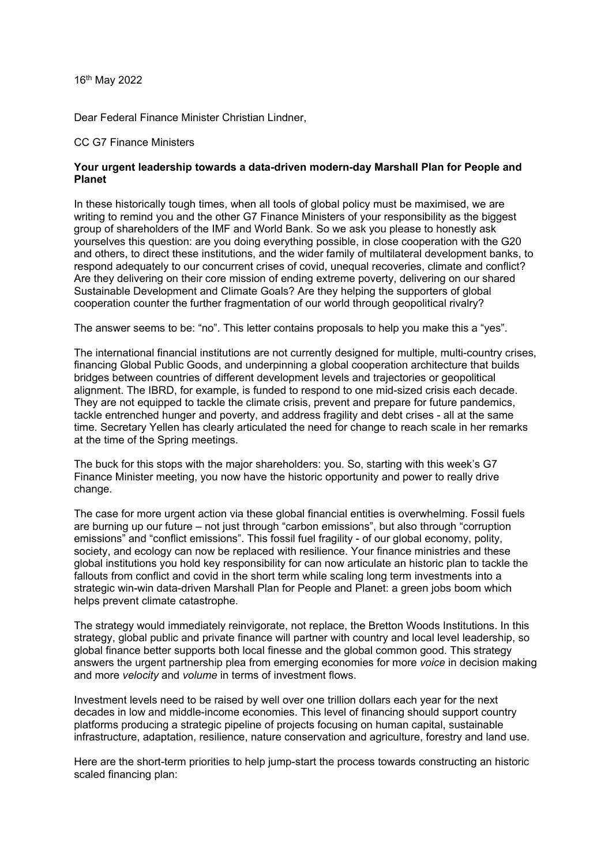16th May 2022

Dear Federal Finance Minister Christian Lindner,

## CC G7 Finance Ministers

## **Your urgent leadership towards a data-driven modern-day Marshall Plan for People and Planet**

In these historically tough times, when all tools of global policy must be maximised, we are writing to remind you and the other G7 Finance Ministers of your responsibility as the biggest group of shareholders of the IMF and World Bank. So we ask you please to honestly ask yourselves this question: are you doing everything possible, in close cooperation with the G20 and others, to direct these institutions, and the wider family of multilateral development banks, to respond adequately to our concurrent crises of covid, unequal recoveries, climate and conflict? Are they delivering on their core mission of ending extreme poverty, delivering on our shared Sustainable Development and Climate Goals? Are they helping the supporters of global cooperation counter the further fragmentation of our world through geopolitical rivalry?

The answer seems to be: "no". This letter contains proposals to help you make this a "yes".

The international financial institutions are not currently designed for multiple, multi-country crises, financing Global Public Goods, and underpinning a global cooperation architecture that builds bridges between countries of different development levels and trajectories or geopolitical alignment. The IBRD, for example, is funded to respond to one mid-sized crisis each decade. They are not equipped to tackle the climate crisis, prevent and prepare for future pandemics, tackle entrenched hunger and poverty, and address fragility and debt crises - all at the same time. Secretary Yellen has clearly articulated the need for change to reach scale in her remarks at the time of the Spring meetings.

The buck for this stops with the major shareholders: you. So, starting with this week's G7 Finance Minister meeting, you now have the historic opportunity and power to really drive change.

The case for more urgent action via these global financial entities is overwhelming. Fossil fuels are burning up our future – not just through "carbon emissions", but also through "corruption emissions" and "conflict emissions". This fossil fuel fragility - of our global economy, polity, society, and ecology can now be replaced with resilience. Your finance ministries and these global institutions you hold key responsibility for can now articulate an historic plan to tackle the fallouts from conflict and covid in the short term while scaling long term investments into a strategic win-win data-driven Marshall Plan for People and Planet: a green jobs boom which helps prevent climate catastrophe.

The strategy would immediately reinvigorate, not replace, the Bretton Woods Institutions. In this strategy, global public and private finance will partner with country and local level leadership, so global finance better supports both local finesse and the global common good. This strategy answers the urgent partnership plea from emerging economies for more *voice* in decision making and more *velocity* and *volume* in terms of investment flows.

Investment levels need to be raised by well over one trillion dollars each year for the next decades in low and middle-income economies. This level of financing should support country platforms producing a strategic pipeline of projects focusing on human capital, sustainable infrastructure, adaptation, resilience, nature conservation and agriculture, forestry and land use.

Here are the short-term priorities to help jump-start the process towards constructing an historic scaled financing plan: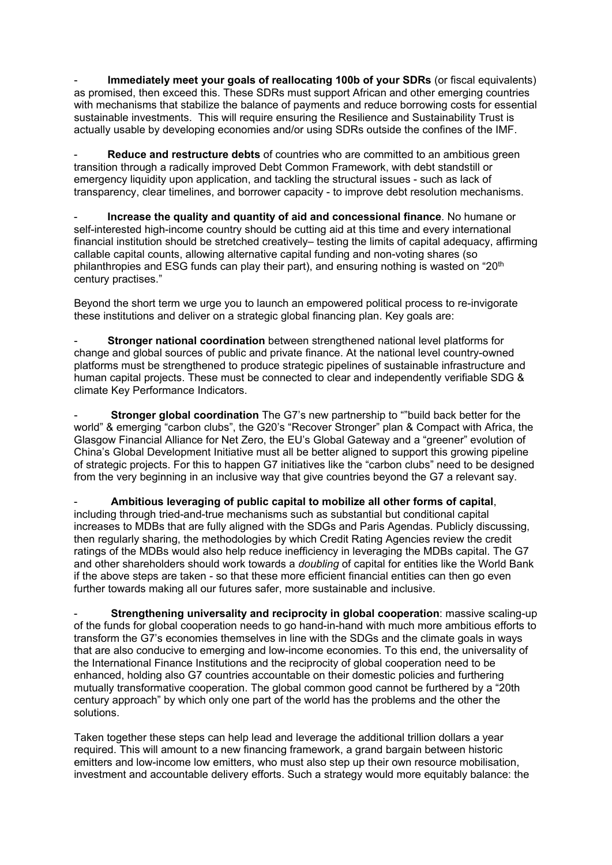**Immediately meet your goals of reallocating 100b of your SDRs** (or fiscal equivalents) as promised, then exceed this. These SDRs must support African and other emerging countries with mechanisms that stabilize the balance of payments and reduce borrowing costs for essential sustainable investments. This will require ensuring the Resilience and Sustainability Trust is actually usable by developing economies and/or using SDRs outside the confines of the IMF.

- **Reduce and restructure debts** of countries who are committed to an ambitious green transition through a radically improved Debt Common Framework, with debt standstill or emergency liquidity upon application, and tackling the structural issues - such as lack of transparency, clear timelines, and borrower capacity - to improve debt resolution mechanisms.

- **Increase the quality and quantity of aid and concessional finance**. No humane or self-interested high-income country should be cutting aid at this time and every international financial institution should be stretched creatively– testing the limits of capital adequacy, affirming callable capital counts, allowing alternative capital funding and non-voting shares (so philanthropies and ESG funds can play their part), and ensuring nothing is wasted on " $20<sup>th</sup>$ century practises."

Beyond the short term we urge you to launch an empowered political process to re-invigorate these institutions and deliver on a strategic global financing plan. Key goals are:

- **Stronger national coordination** between strengthened national level platforms for change and global sources of public and private finance. At the national level country-owned platforms must be strengthened to produce strategic pipelines of sustainable infrastructure and human capital projects. These must be connected to clear and independently verifiable SDG & climate Key Performance Indicators.

**Stronger global coordination** The G7's new partnership to ""build back better for the world" & emerging "carbon clubs", the G20's "Recover Stronger" plan & Compact with Africa, the Glasgow Financial Alliance for Net Zero, the EU's Global Gateway and a "greener" evolution of China's Global Development Initiative must all be better aligned to support this growing pipeline of strategic projects. For this to happen G7 initiatives like the "carbon clubs" need to be designed from the very beginning in an inclusive way that give countries beyond the G7 a relevant say.

- **Ambitious leveraging of public capital to mobilize all other forms of capital**, including through tried-and-true mechanisms such as substantial but conditional capital increases to MDBs that are fully aligned with the SDGs and Paris Agendas. Publicly discussing, then regularly sharing, the methodologies by which Credit Rating Agencies review the credit ratings of the MDBs would also help reduce inefficiency in leveraging the MDBs capital. The G7 and other shareholders should work towards a *doubling* of capital for entities like the World Bank if the above steps are taken - so that these more efficient financial entities can then go even further towards making all our futures safer, more sustainable and inclusive.

- **Strengthening universality and reciprocity in global cooperation**: massive scaling-up of the funds for global cooperation needs to go hand-in-hand with much more ambitious efforts to transform the G7's economies themselves in line with the SDGs and the climate goals in ways that are also conducive to emerging and low-income economies. To this end, the universality of the International Finance Institutions and the reciprocity of global cooperation need to be enhanced, holding also G7 countries accountable on their domestic policies and furthering mutually transformative cooperation. The global common good cannot be furthered by a "20th century approach" by which only one part of the world has the problems and the other the solutions.

Taken together these steps can help lead and leverage the additional trillion dollars a year required. This will amount to a new financing framework, a grand bargain between historic emitters and low-income low emitters, who must also step up their own resource mobilisation, investment and accountable delivery efforts. Such a strategy would more equitably balance: the